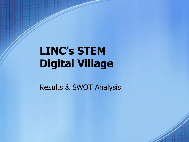# **LINC's STEM Digital Village**

Results & SWOT Analysis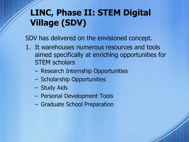## **LINC, Phase II: STEM Digital Village (SDV)**

SDV has delivered on the envisioned concept.

- 1. It warehouses numerous resources and tools aimed specifically at enriching opportunities for STEM scholars
	- Research Internship Opportunities
	- Scholarship Opportunities
	- Study Aids
	- Personal Development Tools
	- Graduate School Preparation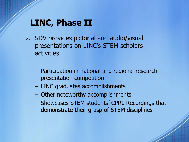### **LINC, Phase II**

- 2. SDV provides pictorial and audio/visual presentations on LINC's STEM scholars activities
	- Participation in national and regional research presentation competition
	- LINC graduates accomplishments
	- Other noteworthy accomplishments
	- Showcases STEM students' CPRL Recordings that demonstrate their grasp of STEM disciplines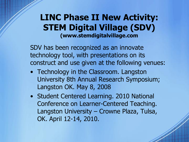#### **LINC Phase II New Activity: STEM Digital Village (SDV) (www.stemdigitalvillage.com**

SDV has been recognized as an innovate technology tool, with presentations on its construct and use given at the following venues:

- Technology in the Classroom. Langston University 8th Annual Research Symposium; Langston OK. May 8, 2008
- Student Centered Learning. 2010 National Conference on Learner-Centered Teaching. Langston University – Crowne Plaza, Tulsa, OK. April 12-14, 2010.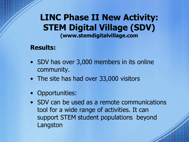#### **LINC Phase II New Activity: STEM Digital Village (SDV) (www.stemdigitalvillage.com**

#### **Results:**

- SDV has over 3,000 members in its online community.
- The site has had over 33,000 visitors
- Opportunities:
- SDV can be used as a remote communications tool for a wide range of activities. It can support STEM student populations beyond Langston